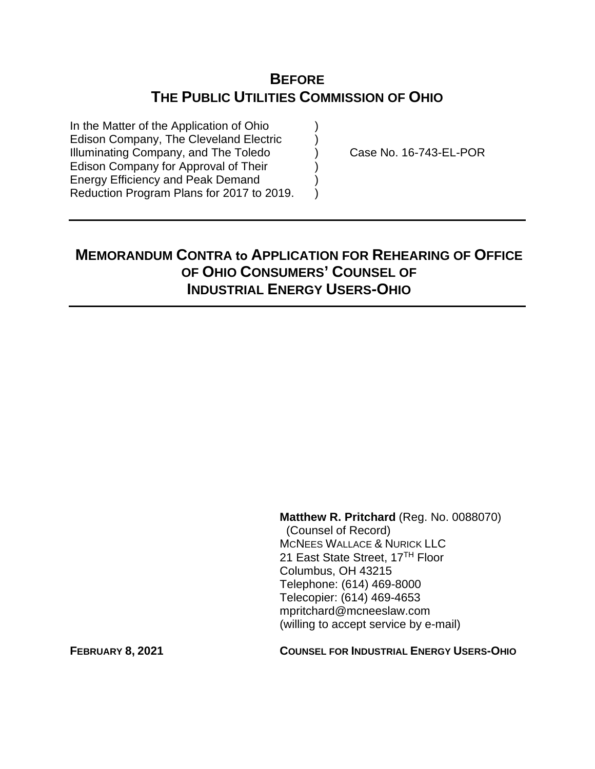## **BEFORE THE PUBLIC UTILITIES COMMISSION OF OHIO**

In the Matter of the Application of Ohio Edison Company, The Cleveland Electric ) Illuminating Company, and The Toledo (a) Case No. 16-743-EL-POR Edison Company for Approval of Their ) Energy Efficiency and Peak Demand ) Reduction Program Plans for 2017 to 2019.

# **MEMORANDUM CONTRA to APPLICATION FOR REHEARING OF OFFICE OF OHIO CONSUMERS' COUNSEL OF INDUSTRIAL ENERGY USERS-OHIO**

**Matthew R. Pritchard** (Reg. No. 0088070) (Counsel of Record) MCNEES WALLACE & NURICK LLC 21 East State Street, 17<sup>TH</sup> Floor Columbus, OH 43215 Telephone: (614) 469-8000 Telecopier: (614) 469-4653 mpritchard@mcneeslaw.com (willing to accept service by e-mail)

**FEBRUARY 8, 2021 COUNSEL FOR INDUSTRIAL ENERGY USERS-OHIO**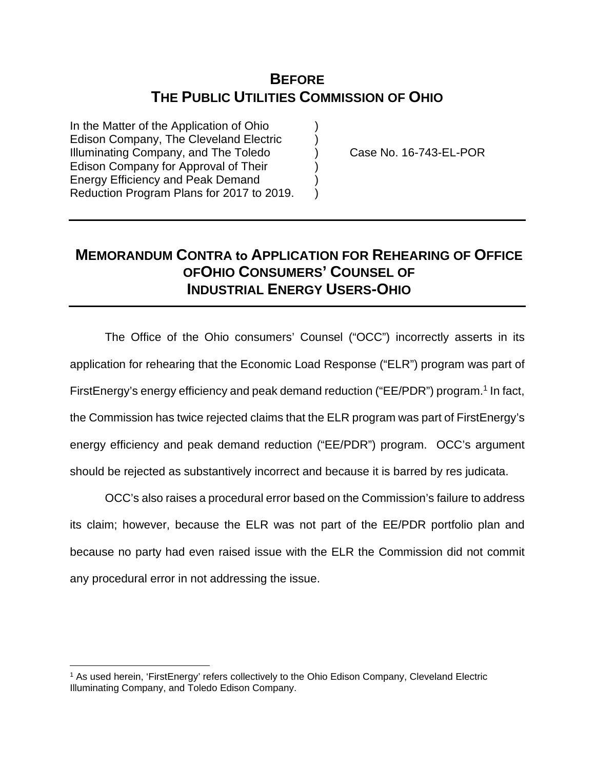## **BEFORE THE PUBLIC UTILITIES COMMISSION OF OHIO**

In the Matter of the Application of Ohio Edison Company, The Cleveland Electric ) Illuminating Company, and The Toledo ) Case No. 16-743-EL-POR Edison Company for Approval of Their ) Energy Efficiency and Peak Demand ) Reduction Program Plans for 2017 to 2019.

## **MEMORANDUM CONTRA to APPLICATION FOR REHEARING OF OFFICE OFOHIO CONSUMERS' COUNSEL OF INDUSTRIAL ENERGY USERS-OHIO**

The Office of the Ohio consumers' Counsel ("OCC") incorrectly asserts in its application for rehearing that the Economic Load Response ("ELR") program was part of FirstEnergy's energy efficiency and peak demand reduction ("EE/PDR") program.<sup>[1](#page-1-0)</sup> In fact, the Commission has twice rejected claims that the ELR program was part of FirstEnergy's energy efficiency and peak demand reduction ("EE/PDR") program. OCC's argument should be rejected as substantively incorrect and because it is barred by res judicata.

OCC's also raises a procedural error based on the Commission's failure to address its claim; however, because the ELR was not part of the EE/PDR portfolio plan and because no party had even raised issue with the ELR the Commission did not commit any procedural error in not addressing the issue.

<span id="page-1-0"></span><sup>1</sup> As used herein, 'FirstEnergy' refers collectively to the Ohio Edison Company, Cleveland Electric Illuminating Company, and Toledo Edison Company.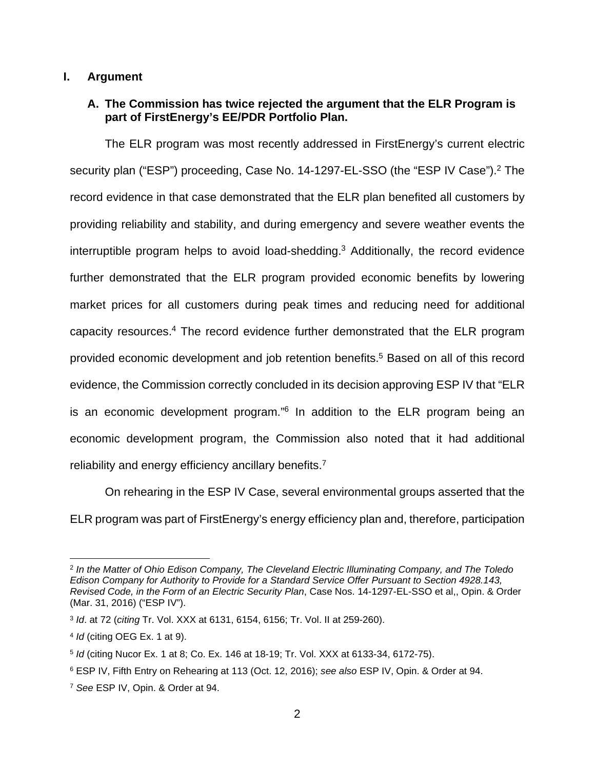#### **I. Argument**

### **A. The Commission has twice rejected the argument that the ELR Program is part of FirstEnergy's EE/PDR Portfolio Plan.**

The ELR program was most recently addressed in FirstEnergy's current electric security plan ("ESP") proceeding, Case No. 14-1[2](#page-2-3)97-EL-SSO (the "ESP IV Case").<sup>2</sup> The record evidence in that case demonstrated that the ELR plan benefited all customers by providing reliability and stability, and during emergency and severe weather events the interruptible program helps to avoid load-shedding.[3](#page-2-4) Additionally, the record evidence further demonstrated that the ELR program provided economic benefits by lowering market prices for all customers during peak times and reducing need for additional capacity resources.<sup>[4](#page-2-5)</sup> The record evidence further demonstrated that the ELR program provided economic development and job retention benefits.<sup>[5](#page-2-0)</sup> Based on all of this record evidence, the Commission correctly concluded in its decision approving ESP IV that "ELR is an economic development program."<sup>[6](#page-2-1)</sup> In addition to the ELR program being an economic development program, the Commission also noted that it had additional reliability and energy efficiency ancillary benefits.<sup>[7](#page-2-2)</sup>

On rehearing in the ESP IV Case, several environmental groups asserted that the ELR program was part of FirstEnergy's energy efficiency plan and, therefore, participation

<span id="page-2-3"></span><sup>2</sup> *In the Matter of Ohio Edison Company, The Cleveland Electric Illuminating Company, and The Toledo Edison Company for Authority to Provide for a Standard Service Offer Pursuant to Section 4928.143, Revised Code, in the Form of an Electric Security Plan*, Case Nos. 14-1297-EL-SSO et al,, Opin. & Order (Mar. 31, 2016) ("ESP IV").

<span id="page-2-4"></span><sup>3</sup> *Id*. at 72 (*citing* Tr. Vol. XXX at 6131, 6154, 6156; Tr. Vol. II at 259-260).

<span id="page-2-5"></span><sup>4</sup> *Id* (citing OEG Ex. 1 at 9).

<span id="page-2-0"></span><sup>5</sup> *Id* (citing Nucor Ex. 1 at 8; Co. Ex. 146 at 18-19; Tr. Vol. XXX at 6133-34, 6172-75).

<span id="page-2-1"></span><sup>6</sup> ESP IV, Fifth Entry on Rehearing at 113 (Oct. 12, 2016); *see also* ESP IV, Opin. & Order at 94.

<span id="page-2-2"></span><sup>7</sup> *See* ESP IV, Opin. & Order at 94.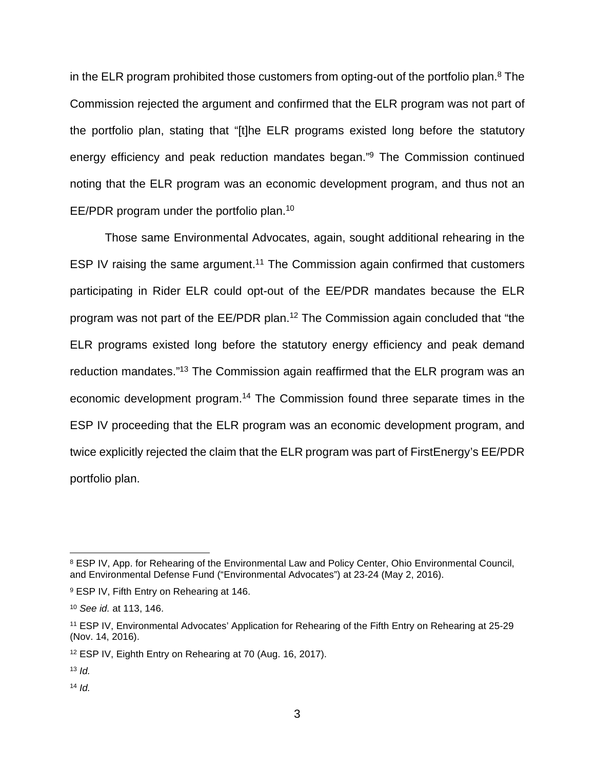in the ELR program prohibited those customers from opting-out of the portfolio plan.<sup>[8](#page-3-4)</sup> The Commission rejected the argument and confirmed that the ELR program was not part of the portfolio plan, stating that "[t]he ELR programs existed long before the statutory energy efficiency and peak reduction mandates began."<sup>[9](#page-3-5)</sup> The Commission continued noting that the ELR program was an economic development program, and thus not an EE/PDR program under the portfolio plan.[10](#page-3-6)

Those same Environmental Advocates, again, sought additional rehearing in the ESP IV raising the same argument.<sup>[11](#page-3-3)</sup> The Commission again confirmed that customers participating in Rider ELR could opt-out of the EE/PDR mandates because the ELR program was not part of the EE/PDR plan.[12](#page-3-0) The Commission again concluded that "the ELR programs existed long before the statutory energy efficiency and peak demand reduction mandates."[13](#page-3-1) The Commission again reaffirmed that the ELR program was an economic development program.[14](#page-3-2) The Commission found three separate times in the ESP IV proceeding that the ELR program was an economic development program, and twice explicitly rejected the claim that the ELR program was part of FirstEnergy's EE/PDR portfolio plan.

<span id="page-3-4"></span><sup>&</sup>lt;sup>8</sup> ESP IV, App. for Rehearing of the Environmental Law and Policy Center, Ohio Environmental Council, and Environmental Defense Fund ("Environmental Advocates") at 23-24 (May 2, 2016).

<span id="page-3-5"></span><sup>9</sup> ESP IV, Fifth Entry on Rehearing at 146.

<span id="page-3-6"></span><sup>10</sup> *See id.* at 113, 146.

<span id="page-3-3"></span><sup>11</sup> ESP IV, Environmental Advocates' Application for Rehearing of the Fifth Entry on Rehearing at 25-29 (Nov. 14, 2016).

<span id="page-3-0"></span><sup>12</sup> ESP IV, Eighth Entry on Rehearing at 70 (Aug. 16, 2017).

<span id="page-3-1"></span> $13$  *Id.* 

<span id="page-3-2"></span> $14$  *Id.*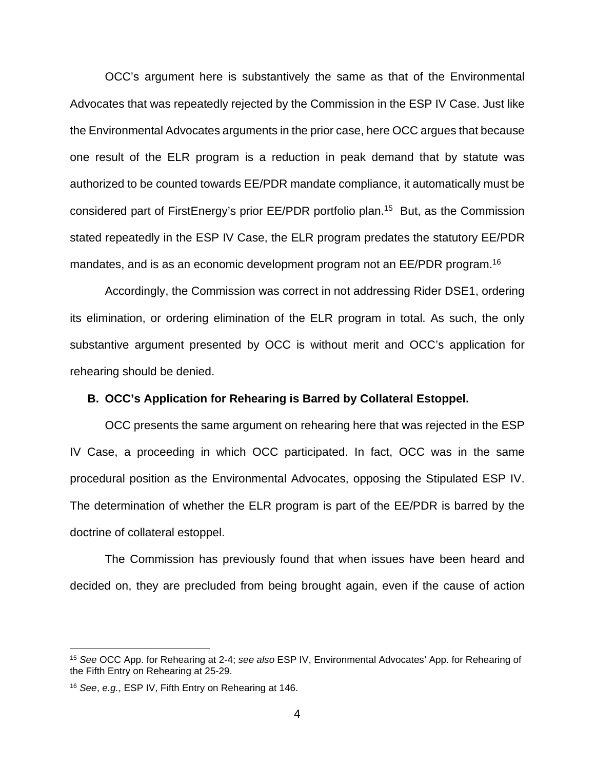OCC's argument here is substantively the same as that of the Environmental Advocates that was repeatedly rejected by the Commission in the ESP IV Case. Just like the Environmental Advocates arguments in the prior case, here OCC argues that because one result of the ELR program is a reduction in peak demand that by statute was authorized to be counted towards EE/PDR mandate compliance, it automatically must be considered part of FirstEnergy's prior EE/PDR portfolio plan.[15](#page-4-1) But, as the Commission stated repeatedly in the ESP IV Case, the ELR program predates the statutory EE/PDR mandates, and is as an economic development program not an EE/PDR program.[16](#page-4-0)

Accordingly, the Commission was correct in not addressing Rider DSE1, ordering its elimination, or ordering elimination of the ELR program in total. As such, the only substantive argument presented by OCC is without merit and OCC's application for rehearing should be denied.

#### **B. OCC's Application for Rehearing is Barred by Collateral Estoppel.**

OCC presents the same argument on rehearing here that was rejected in the ESP IV Case, a proceeding in which OCC participated. In fact, OCC was in the same procedural position as the Environmental Advocates, opposing the Stipulated ESP IV. The determination of whether the ELR program is part of the EE/PDR is barred by the doctrine of collateral estoppel.

The Commission has previously found that when issues have been heard and decided on, they are precluded from being brought again, even if the cause of action

<span id="page-4-1"></span><sup>15</sup> *See* OCC App. for Rehearing at 2-4; *see also* ESP IV, Environmental Advocates' App. for Rehearing of the Fifth Entry on Rehearing at 25-29.

<span id="page-4-0"></span><sup>16</sup> *See*, *e.g.*, ESP IV, Fifth Entry on Rehearing at 146.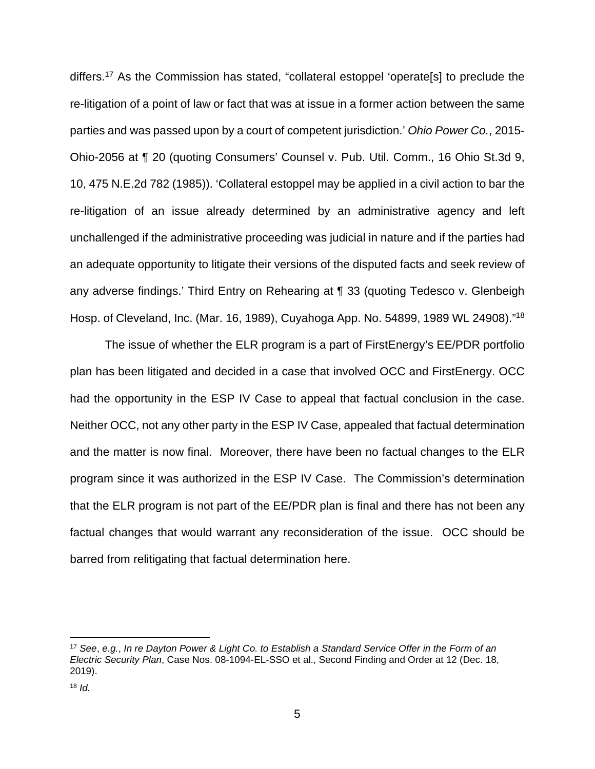differs.[17](#page-5-1) As the Commission has stated, "collateral estoppel 'operate[s] to preclude the re-litigation of a point of law or fact that was at issue in a former action between the same parties and was passed upon by a court of competent jurisdiction.' *Ohio Power Co.*, 2015- Ohio-2056 at ¶ 20 (quoting Consumers' Counsel v. Pub. Util. Comm., 16 Ohio St.3d 9, 10, 475 N.E.2d 782 (1985)). 'Collateral estoppel may be applied in a civil action to bar the re-litigation of an issue already determined by an administrative agency and left unchallenged if the administrative proceeding was judicial in nature and if the parties had an adequate opportunity to litigate their versions of the disputed facts and seek review of any adverse findings.' Third Entry on Rehearing at ¶ 33 (quoting Tedesco v. Glenbeigh Hosp. of Cleveland, Inc. (Mar. 16, 1989), Cuyahoga App. No. 54899, 1989 WL 24908)."[18](#page-5-0)

 The issue of whether the ELR program is a part of FirstEnergy's EE/PDR portfolio plan has been litigated and decided in a case that involved OCC and FirstEnergy. OCC had the opportunity in the ESP IV Case to appeal that factual conclusion in the case. Neither OCC, not any other party in the ESP IV Case, appealed that factual determination and the matter is now final. Moreover, there have been no factual changes to the ELR program since it was authorized in the ESP IV Case. The Commission's determination that the ELR program is not part of the EE/PDR plan is final and there has not been any factual changes that would warrant any reconsideration of the issue. OCC should be barred from relitigating that factual determination here.

<span id="page-5-1"></span><sup>17</sup> *See*, *e.g.*, *In re Dayton Power & Light Co. to Establish a Standard Service Offer in the Form of an Electric Security Plan*, Case Nos. 08-1094-EL-SSO et al., Second Finding and Order at 12 (Dec. 18, 2019).

<span id="page-5-0"></span> $18$  *Id.*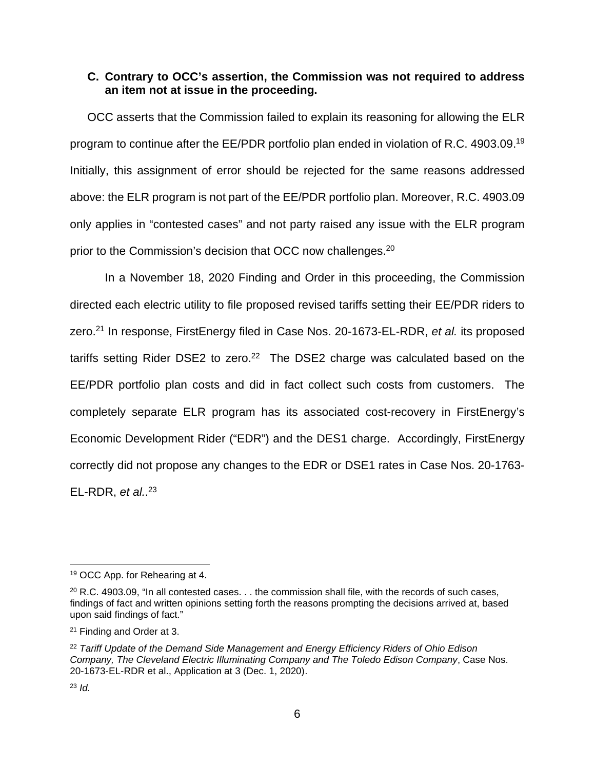#### **C. Contrary to OCC's assertion, the Commission was not required to address an item not at issue in the proceeding.**

OCC asserts that the Commission failed to explain its reasoning for allowing the ELR program to continue after the EE/PDR portfolio plan ended in violation of R.C. 4903.09.[19](#page-6-3) Initially, this assignment of error should be rejected for the same reasons addressed above: the ELR program is not part of the EE/PDR portfolio plan. Moreover, R.C. 4903.09 only applies in "contested cases" and not party raised any issue with the ELR program prior to the Commission's decision that OCC now challenges.<sup>[20](#page-6-4)</sup>

In a November 18, 2020 Finding and Order in this proceeding, the Commission directed each electric utility to file proposed revised tariffs setting their EE/PDR riders to zero.[21](#page-6-2) In response, FirstEnergy filed in Case Nos. 20-1673-EL-RDR, *et al.* its proposed tariffs setting Rider DSE2 to zero.<sup>[22](#page-6-0)</sup> The DSE2 charge was calculated based on the EE/PDR portfolio plan costs and did in fact collect such costs from customers. The completely separate ELR program has its associated cost-recovery in FirstEnergy's Economic Development Rider ("EDR") and the DES1 charge. Accordingly, FirstEnergy correctly did not propose any changes to the EDR or DSE1 rates in Case Nos. 20-1763- EL-RDR, *et al.*. [23](#page-6-1)

<span id="page-6-3"></span><sup>19</sup> OCC App. for Rehearing at 4.

<span id="page-6-4"></span> $20$  R.C. 4903.09, "In all contested cases.  $\ldots$  the commission shall file, with the records of such cases, findings of fact and written opinions setting forth the reasons prompting the decisions arrived at, based upon said findings of fact."

<span id="page-6-2"></span><sup>21</sup> Finding and Order at 3.

<span id="page-6-0"></span><sup>22</sup> *Tariff Update of the Demand Side Management and Energy Efficiency Riders of Ohio Edison Company, The Cleveland Electric Illuminating Company and The Toledo Edison Company*, Case Nos. 20-1673-EL-RDR et al., Application at 3 (Dec. 1, 2020).

<span id="page-6-1"></span><sup>23</sup> *Id.*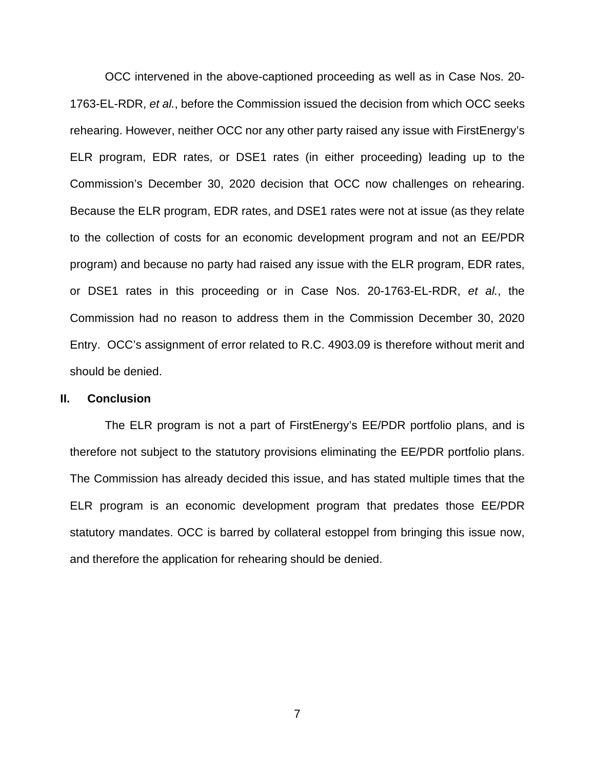OCC intervened in the above-captioned proceeding as well as in Case Nos. 20- 1763-EL-RDR, *et al.*, before the Commission issued the decision from which OCC seeks rehearing. However, neither OCC nor any other party raised any issue with FirstEnergy's ELR program, EDR rates, or DSE1 rates (in either proceeding) leading up to the Commission's December 30, 2020 decision that OCC now challenges on rehearing. Because the ELR program, EDR rates, and DSE1 rates were not at issue (as they relate to the collection of costs for an economic development program and not an EE/PDR program) and because no party had raised any issue with the ELR program, EDR rates, or DSE1 rates in this proceeding or in Case Nos. 20-1763-EL-RDR, *et al.*, the Commission had no reason to address them in the Commission December 30, 2020 Entry. OCC's assignment of error related to R.C. 4903.09 is therefore without merit and should be denied.

#### **II. Conclusion**

The ELR program is not a part of FirstEnergy's EE/PDR portfolio plans, and is therefore not subject to the statutory provisions eliminating the EE/PDR portfolio plans. The Commission has already decided this issue, and has stated multiple times that the ELR program is an economic development program that predates those EE/PDR statutory mandates. OCC is barred by collateral estoppel from bringing this issue now, and therefore the application for rehearing should be denied.

7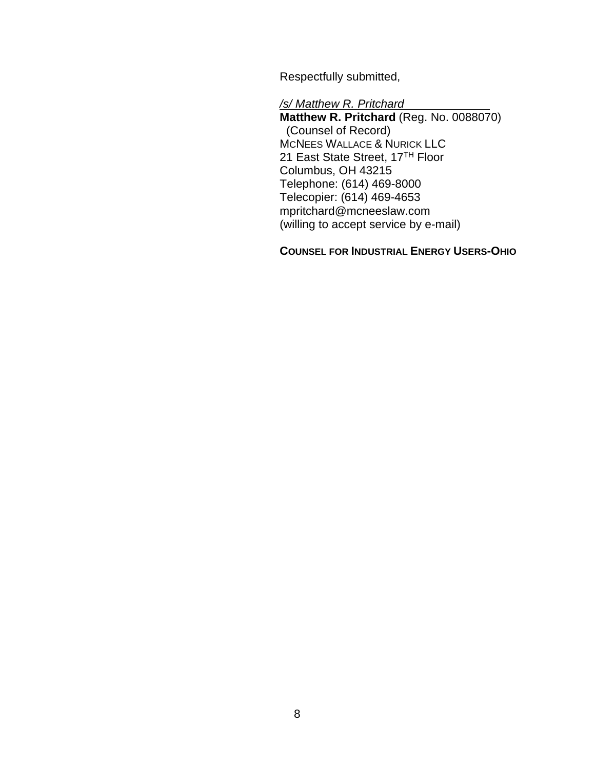Respectfully submitted,

*/s/ Matthew R. Pritchard* 

**Matthew R. Pritchard** (Reg. No. 0088070) (Counsel of Record) MCNEES WALLACE & NURICK LLC 21 East State Street, 17<sup>TH</sup> Floor Columbus, OH 43215 Telephone: (614) 469-8000 Telecopier: (614) 469-4653 mpritchard@mcneeslaw.com (willing to accept service by e-mail)

**COUNSEL FOR INDUSTRIAL ENERGY USERS-OHIO**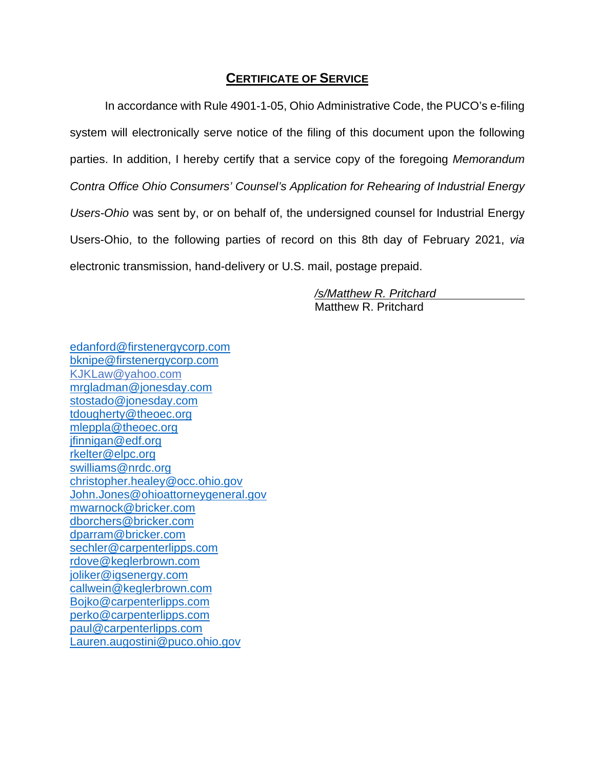### **CERTIFICATE OF SERVICE**

In accordance with Rule 4901-1-05, Ohio Administrative Code, the PUCO's e-filing system will electronically serve notice of the filing of this document upon the following parties. In addition, I hereby certify that a service copy of the foregoing *Memorandum Contra Office Ohio Consumers' Counsel's Application for Rehearing of Industrial Energy Users-Ohio* was sent by, or on behalf of, the undersigned counsel for Industrial Energy Users-Ohio, to the following parties of record on this 8th day of February 2021, *via* electronic transmission, hand-delivery or U.S. mail, postage prepaid.

> */s/Matthew R. Pritchard*  Matthew R. Pritchard

[edanford@firstenergycorp.com](mailto:edanford@firstenergycorp.com) [bknipe@firstenergycorp.com](mailto:bknipe@firstenergycorp.com) [KJKLaw@yahoo.com](mailto:Kjklaw@yahoo.com) [mrgladman@jonesday.com](mailto:mrgladman@jonesday.com) [stostado@jonesday.com](mailto:stostado@jonesday.com) [tdougherty@theoec.org](mailto:tdougherty@theoec.org) [mleppla@theoec.org](mailto:mleppla@theoec.org) [jfinnigan@edf.org](mailto:jfinnigan@edf.org) [rkelter@elpc.org](mailto:rkelter@elpc.org) [swilliams@nrdc.org](mailto:swilliams@nrdc.org) [christopher.healey@occ.ohio.gov](mailto:christopher.healey@occ.ohio.gov) [John.Jones@ohioattorneygeneral.gov](mailto:John.Jones@ohioattorneygeneral.gov) [mwarnock@bricker.com](mailto:mwarnock@bricker.com) [dborchers@bricker.com](mailto:dborchers@bricker.com) [dparram@bricker.com](mailto:dparram@bricker.com) [sechler@carpenterlipps.com](mailto:sechler@carpenterlipps.com) [rdove@keglerbrown.com](mailto:rdove@keglerbrown.com) [joliker@igsenergy.com](mailto:joliker@igsenergy.com) [callwein@keglerbrown.com](mailto:callwein@keglerbrown.com) [Bojko@carpenterlipps.com](mailto:Bojko@carpenterlipps.com) [perko@carpenterlipps.com](mailto:perko@carpenterlipps.com) [paul@carpenterlipps.com](mailto:paul@carpenterlipps.com) [Lauren.augostini@puco.ohio.gov](mailto:Lauren.augostini@puco.ohio.gov)